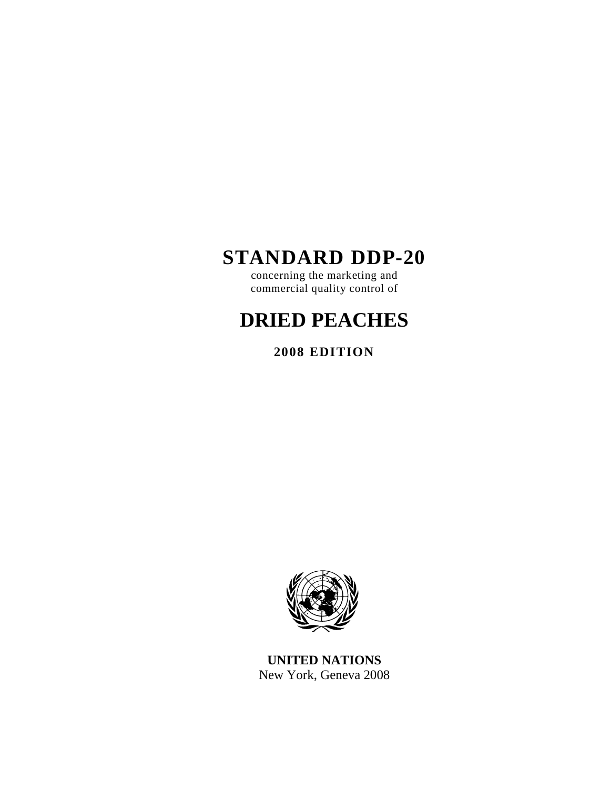# **STANDARD DDP-20**

concerning the marketing and commercial quality control of

# **DRIED PEACHES**

**2008 EDITION** 



**UNITED NATIONS**  New York, Geneva 2008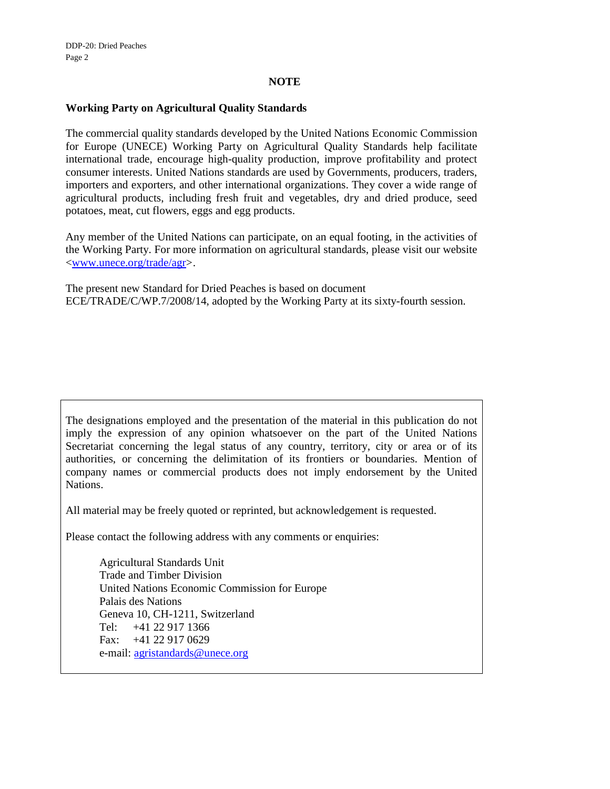#### **NOTE**

#### **Working Party on Agricultural Quality Standards**

The commercial quality standards developed by the United Nations Economic Commission for Europe (UNECE) Working Party on Agricultural Quality Standards help facilitate international trade, encourage high-quality production, improve profitability and protect consumer interests. United Nations standards are used by Governments, producers, traders, importers and exporters, and other international organizations. They cover a wide range of agricultural products, including fresh fruit and vegetables, dry and dried produce, seed potatoes, meat, cut flowers, eggs and egg products.

Any member of the United Nations can participate, on an equal footing, in the activities of the Working Party. For more information on agricultural standards, please visit our website <www.unece.org/trade/agr>.

The present new Standard for Dried Peaches is based on document ECE/TRADE/C/WP.7/2008/14, adopted by the Working Party at its sixty-fourth session.

The designations employed and the presentation of the material in this publication do not imply the expression of any opinion whatsoever on the part of the United Nations Secretariat concerning the legal status of any country, territory, city or area or of its authorities, or concerning the delimitation of its frontiers or boundaries. Mention of company names or commercial products does not imply endorsement by the United Nations.

All material may be freely quoted or reprinted, but acknowledgement is requested.

Please contact the following address with any comments or enquiries:

Agricultural Standards Unit Trade and Timber Division United Nations Economic Commission for Europe Palais des Nations Geneva 10, CH-1211, Switzerland Tel: +41 22 917 1366 Fax: +41 22 917 0629 e-mail: agristandards@unece.org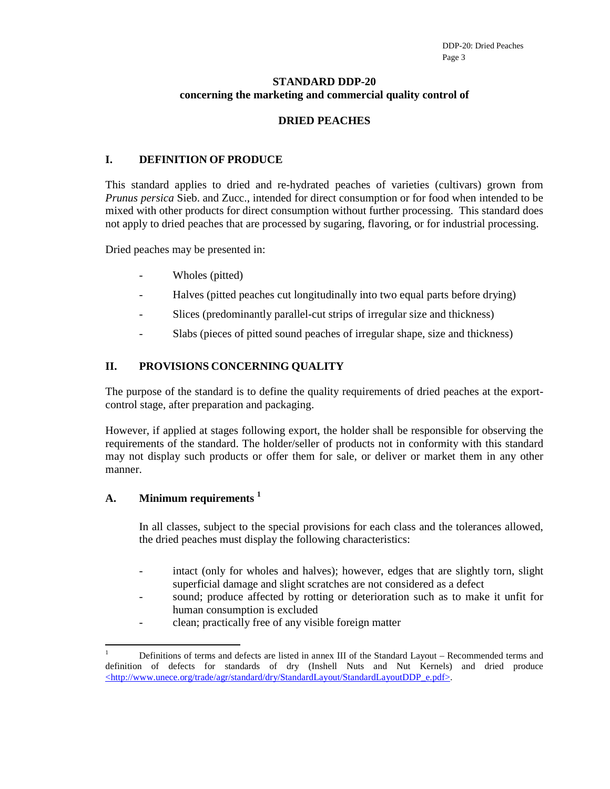#### **STANDARD DDP-20 concerning the marketing and commercial quality control of**

#### **DRIED PEACHES**

# **I. DEFINITION OF PRODUCE**

This standard applies to dried and re-hydrated peaches of varieties (cultivars) grown from *Prunus persica* Sieb. and Zucc., intended for direct consumption or for food when intended to be mixed with other products for direct consumption without further processing. This standard does not apply to dried peaches that are processed by sugaring, flavoring, or for industrial processing.

Dried peaches may be presented in:

- Wholes (pitted)
- Halves (pitted peaches cut longitudinally into two equal parts before drying)
- Slices (predominantly parallel-cut strips of irregular size and thickness)
- Slabs (pieces of pitted sound peaches of irregular shape, size and thickness)

#### **II. PROVISIONS CONCERNING QUALITY**

The purpose of the standard is to define the quality requirements of dried peaches at the exportcontrol stage, after preparation and packaging.

However, if applied at stages following export, the holder shall be responsible for observing the requirements of the standard. The holder/seller of products not in conformity with this standard may not display such products or offer them for sale, or deliver or market them in any other manner.

#### **A. Minimum requirements <sup>1</sup>**

In all classes, subject to the special provisions for each class and the tolerances allowed, the dried peaches must display the following characteristics:

- intact (only for wholes and halves); however, edges that are slightly torn, slight superficial damage and slight scratches are not considered as a defect
- sound; produce affected by rotting or deterioration such as to make it unfit for human consumption is excluded
- clean; practically free of any visible foreign matter

 $\overline{a}$ 1 Definitions of terms and defects are listed in annex III of the Standard Layout – Recommended terms and definition of defects for standards of dry (Inshell Nuts and Nut Kernels) and dried produce <http://www.unece.org/trade/agr/standard/dry/StandardLayout/StandardLayoutDDP\_e.pdf>.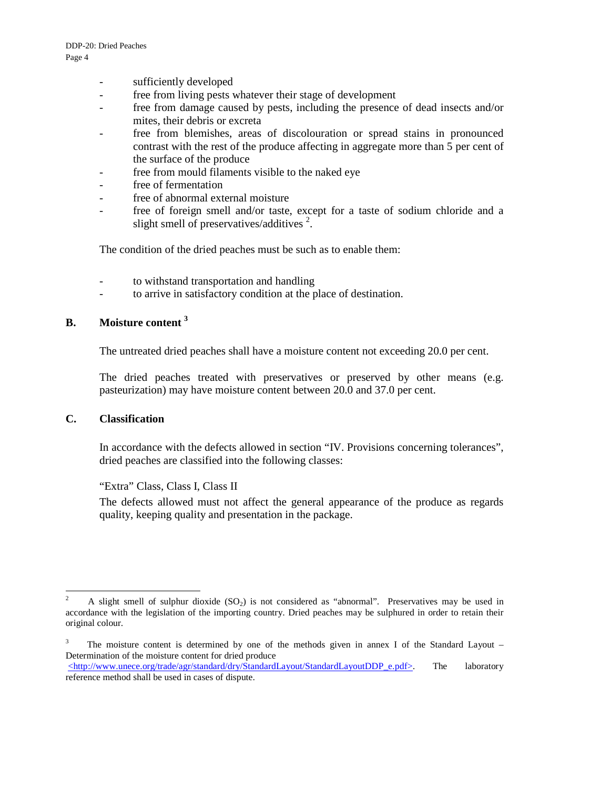- sufficiently developed
- free from living pests whatever their stage of development
- free from damage caused by pests, including the presence of dead insects and/or mites, their debris or excreta
- free from blemishes, areas of discolouration or spread stains in pronounced contrast with the rest of the produce affecting in aggregate more than 5 per cent of the surface of the produce
- free from mould filaments visible to the naked eye
- free of fermentation
- free of abnormal external moisture
- free of foreign smell and/or taste, except for a taste of sodium chloride and a slight smell of preservatives/additives $^2$ .

The condition of the dried peaches must be such as to enable them:

- to withstand transportation and handling
- to arrive in satisfactory condition at the place of destination.

## **B. Moisture content <sup>3</sup>**

The untreated dried peaches shall have a moisture content not exceeding 20.0 per cent.

The dried peaches treated with preservatives or preserved by other means (e.g. pasteurization) may have moisture content between 20.0 and 37.0 per cent.

#### **C. Classification**

In accordance with the defects allowed in section "IV. Provisions concerning tolerances", dried peaches are classified into the following classes:

"Extra" Class, Class I, Class II

The defects allowed must not affect the general appearance of the produce as regards quality, keeping quality and presentation in the package.

 $\sqrt{2}$ A slight smell of sulphur dioxide  $(SO<sub>2</sub>)$  is not considered as "abnormal". Preservatives may be used in accordance with the legislation of the importing country. Dried peaches may be sulphured in order to retain their original colour.

<sup>3</sup> The moisture content is determined by one of the methods given in annex I of the Standard Layout – Determination of the moisture content for dried produce

<sup>&</sup>lt;http://www.unece.org/trade/agr/standard/dry/StandardLayout/StandardLayoutDDP\_e.pdf>. The laboratory reference method shall be used in cases of dispute.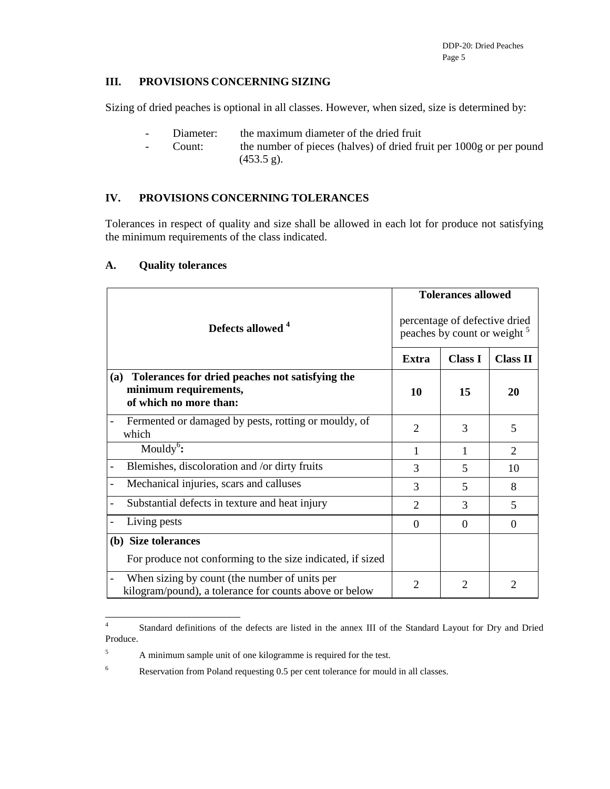# **III. PROVISIONS CONCERNING SIZING**

Sizing of dried peaches is optional in all classes. However, when sized, size is determined by:

- Diameter: the maximum diameter of the dried fruit
- Count: the number of pieces (halves) of dried fruit per 1000g or per pound  $(453.5 g)$ .

# **IV. PROVISIONS CONCERNING TOLERANCES**

Tolerances in respect of quality and size shall be allowed in each lot for produce not satisfying the minimum requirements of the class indicated.

|                                                                                                           | <b>Tolerances allowed</b>                                                |                |                             |
|-----------------------------------------------------------------------------------------------------------|--------------------------------------------------------------------------|----------------|-----------------------------|
| Defects allowed <sup>4</sup>                                                                              | percentage of defective dried<br>peaches by count or weight <sup>5</sup> |                |                             |
|                                                                                                           | <b>Extra</b>                                                             | <b>Class I</b> | <b>Class II</b>             |
| Tolerances for dried peaches not satisfying the<br>(a)<br>minimum requirements,<br>of which no more than: | 10                                                                       | 15             | 20                          |
| Fermented or damaged by pests, rotting or mouldy, of<br>which                                             | 2                                                                        | 3              | 5                           |
| Mouldy <sup>6</sup> :                                                                                     | 1                                                                        | 1              | $\mathcal{D}_{\mathcal{L}}$ |
| Blemishes, discoloration and /or dirty fruits                                                             | 3                                                                        | 5              | 10                          |
| Mechanical injuries, scars and calluses                                                                   | 3                                                                        | 5              | 8                           |
| Substantial defects in texture and heat injury                                                            | 2                                                                        | 3              | 5                           |
| Living pests                                                                                              | $\Omega$                                                                 | $\Omega$       | $\Omega$                    |
| (b) Size tolerances                                                                                       |                                                                          |                |                             |
| For produce not conforming to the size indicated, if sized                                                |                                                                          |                |                             |
| When sizing by count (the number of units per<br>kilogram/pound), a tolerance for counts above or below   | $\overline{2}$                                                           | $\overline{2}$ | 2                           |

#### **A. Quality tolerances**

6

Reservation from Poland requesting 0.5 per cent tolerance for mould in all classes.

 $\frac{1}{4}$  Standard definitions of the defects are listed in the annex III of the Standard Layout for Dry and Dried Produce.

<sup>5</sup> A minimum sample unit of one kilogramme is required for the test.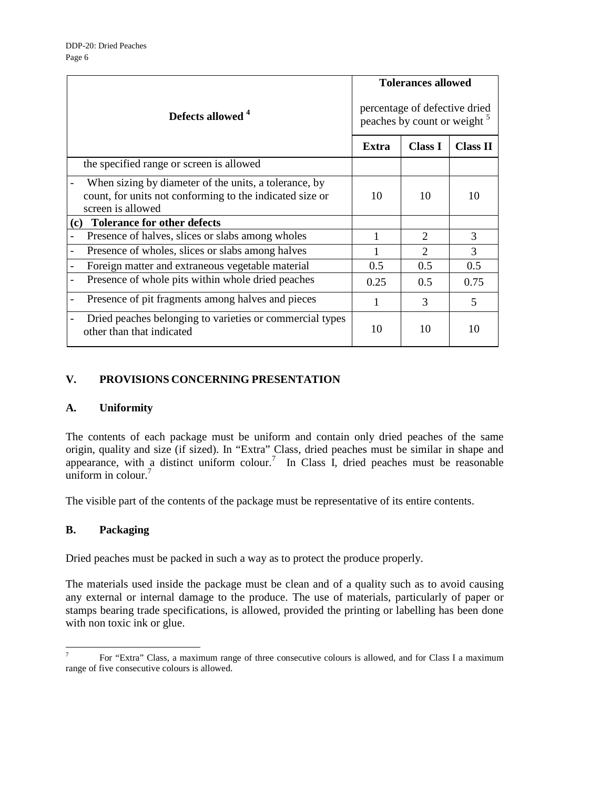|                                                                                                                                        |                                                                          | <b>Tolerances allowed</b>   |                 |  |
|----------------------------------------------------------------------------------------------------------------------------------------|--------------------------------------------------------------------------|-----------------------------|-----------------|--|
| Defects allowed <sup>4</sup>                                                                                                           | percentage of defective dried<br>peaches by count or weight <sup>5</sup> |                             |                 |  |
|                                                                                                                                        | <b>Extra</b>                                                             | <b>Class I</b>              | <b>Class II</b> |  |
| the specified range or screen is allowed                                                                                               |                                                                          |                             |                 |  |
| When sizing by diameter of the units, a tolerance, by<br>count, for units not conforming to the indicated size or<br>screen is allowed | 10                                                                       | 10                          | 10              |  |
| <b>Tolerance for other defects</b><br>(c)                                                                                              |                                                                          |                             |                 |  |
| Presence of halves, slices or slabs among wholes                                                                                       |                                                                          | $\mathcal{D}_{\mathcal{L}}$ | 3               |  |
| Presence of wholes, slices or slabs among halves                                                                                       |                                                                          | $\mathfrak{D}$              | 3               |  |
| Foreign matter and extraneous vegetable material                                                                                       | 0.5                                                                      | 0.5                         | 0.5             |  |
| Presence of whole pits within whole dried peaches                                                                                      | 0.25                                                                     | 0.5                         | 0.75            |  |
| Presence of pit fragments among halves and pieces                                                                                      | 1                                                                        | 3                           | 5               |  |
| Dried peaches belonging to varieties or commercial types<br>other than that indicated                                                  | 10                                                                       | 10                          | 10              |  |

# **V. PROVISIONS CONCERNING PRESENTATION**

# **A. Uniformity**

The contents of each package must be uniform and contain only dried peaches of the same origin, quality and size (if sized). In "Extra" Class, dried peaches must be similar in shape and appearance, with a distinct uniform colour.<sup>7</sup> In Class I, dried peaches must be reasonable uniform in colour. $7$ 

The visible part of the contents of the package must be representative of its entire contents.

# **B. Packaging**

Dried peaches must be packed in such a way as to protect the produce properly.

The materials used inside the package must be clean and of a quality such as to avoid causing any external or internal damage to the produce. The use of materials, particularly of paper or stamps bearing trade specifications, is allowed, provided the printing or labelling has been done with non toxic ink or glue.

<sup>-&</sup>lt;br>7 For "Extra" Class, a maximum range of three consecutive colours is allowed, and for Class I a maximum range of five consecutive colours is allowed.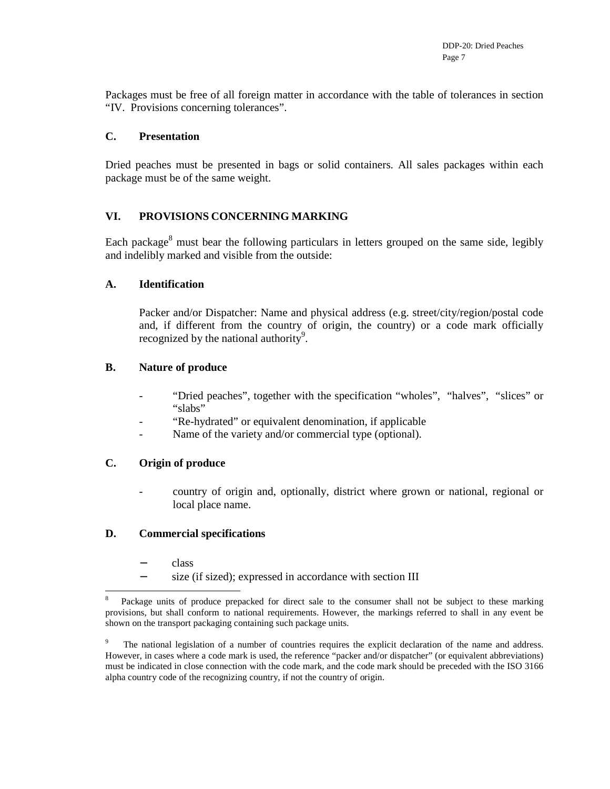Packages must be free of all foreign matter in accordance with the table of tolerances in section "IV. Provisions concerning tolerances".

#### **C. Presentation**

Dried peaches must be presented in bags or solid containers. All sales packages within each package must be of the same weight.

#### **VI. PROVISIONS CONCERNING MARKING**

Each package<sup>8</sup> must bear the following particulars in letters grouped on the same side, legibly and indelibly marked and visible from the outside:

#### **A. Identification**

Packer and/or Dispatcher: Name and physical address (e.g. street/city/region/postal code and, if different from the country of origin, the country) or a code mark officially recognized by the national authority<sup>9</sup>.

#### **B. Nature of produce**

- "Dried peaches", together with the specification "wholes", "halves", "slices" or "slabs"
- "Re-hydrated" or equivalent denomination, if applicable
- Name of the variety and/or commercial type (optional).

#### **C. Origin of produce**

- country of origin and, optionally, district where grown or national, regional or local place name.

#### **D. Commercial specifications**

- − class
- − size (if sized); expressed in accordance with section III

 $\overline{a}$ 8 Package units of produce prepacked for direct sale to the consumer shall not be subject to these marking provisions, but shall conform to national requirements. However, the markings referred to shall in any event be shown on the transport packaging containing such package units.

<sup>9</sup> The national legislation of a number of countries requires the explicit declaration of the name and address. However, in cases where a code mark is used, the reference "packer and/or dispatcher" (or equivalent abbreviations) must be indicated in close connection with the code mark, and the code mark should be preceded with the ISO 3166 alpha country code of the recognizing country, if not the country of origin.